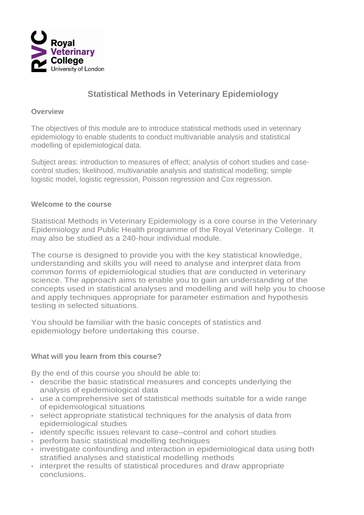

# **Statistical Methods in Veterinary Epidemiology**

#### **Overview**

The objectives of this module are to introduce statistical methods used in veterinary epidemiology to enable students to conduct multivariable analysis and statistical modelling of epidemiological data.

Subject areas: introduction to measures of effect; analysis of cohort studies and casecontrol studies; likelihood, multivariable analysis and statistical modelling; simple logistic model, logistic regression, Poisson regression and Cox regression.

### **Welcome to the course**

Statistical Methods in Veterinary Epidemiology is a core course in the Veterinary Epidemiology and Public Health programme of the Royal Veterinary College. It may also be studied as a 240-hour individual module.

The course is designed to provide you with the key statistical knowledge, understanding and skills you will need to analyse and interpret data from common forms of epidemiological studies that are conducted in veterinary science. The approach aims to enable you to gain an understanding of the concepts used in statistical analyses and modelling and will help you to choose and apply techniques appropriate for parameter estimation and hypothesis testing in selected situations.

You should be familiar with the basic concepts of statistics and epidemiology before undertaking this course.

## **What will you learn from this course?**

By the end of this course you should be able to:

- describe the basic statistical measures and concepts underlying the analysis of epidemiological data
- use a comprehensive set of statistical methods suitable for a wide range of epidemiological situations
- select appropriate statistical techniques for the analysis of data from epidemiological studies
- identify specific issues relevant to case–control and cohort studies
- perform basic statistical modelling techniques
- investigate confounding and interaction in epidemiological data using both stratified analyses and statistical modelling methods
- interpret the results of statistical procedures and draw appropriate conclusions.